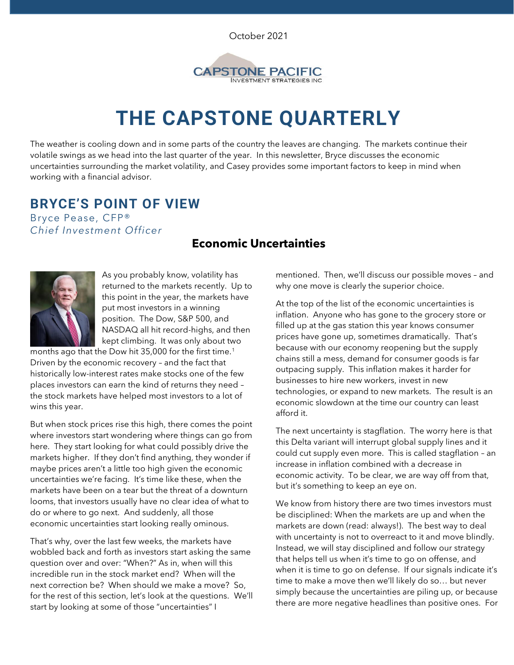October 2021



# **THE CAPSTONE QUARTERLY**

The weather is cooling down and in some parts of the country the leaves are changing. The markets continue their volatile swings as we head into the last quarter of the year. In this newsletter, Bryce discusses the economic uncertainties surrounding the market volatility, and Casey provides some important factors to keep in mind when working with a financial advisor.

## **BRYCE'S POINT OF VIEW**

Bryce Pease, CFP® *Chief Investment Officer*

#### **Economic Uncertainties**



As you probably know, volatility has returned to the markets recently. Up to this point in the year, the markets have put most investors in a winning position. The Dow, S&P 500, and NASDAQ all hit record-highs, and then kept climbing. It was only about two

months ago that the Dow hit 35,000 for the first time.<sup>1</sup> Driven by the economic recovery – and the fact that historically low-interest rates make stocks one of the few places investors can earn the kind of returns they need – the stock markets have helped most investors to a lot of wins this year.

But when stock prices rise this high, there comes the point where investors start wondering where things can go from here. They start looking for what could possibly drive the markets higher. If they don't find anything, they wonder if maybe prices aren't a little too high given the economic uncertainties we're facing. It's time like these, when the markets have been on a tear but the threat of a downturn looms, that investors usually have no clear idea of what to do or where to go next. And suddenly, all those economic uncertainties start looking really ominous.

That's why, over the last few weeks, the markets have wobbled back and forth as investors start asking the same question over and over: "When?" As in, when will this incredible run in the stock market end? When will the next correction be? When should we make a move? So, for the rest of this section, let's look at the questions. We'll start by looking at some of those "uncertainties" I

mentioned. Then, we'll discuss our possible moves – and why one move is clearly the superior choice.

At the top of the list of the economic uncertainties is inflation. Anyone who has gone to the grocery store or filled up at the gas station this year knows consumer prices have gone up, sometimes dramatically. That's because with our economy reopening but the supply chains still a mess, demand for consumer goods is far outpacing supply. This inflation makes it harder for businesses to hire new workers, invest in new technologies, or expand to new markets. The result is an economic slowdown at the time our country can least afford it.

The next uncertainty is stagflation. The worry here is that this Delta variant will interrupt global supply lines and it could cut supply even more. This is called stagflation – an increase in inflation combined with a decrease in economic activity. To be clear, we are way off from that, but it's something to keep an eye on.

We know from history there are two times investors must be disciplined: When the markets are up and when the markets are down (read: always!). The best way to deal with uncertainty is not to overreact to it and move blindly. Instead, we will stay disciplined and follow our strategy that helps tell us when it's time to go on offense, and when it is time to go on defense. If our signals indicate it's time to make a move then we'll likely do so… but never simply because the uncertainties are piling up, or because there are more negative headlines than positive ones. For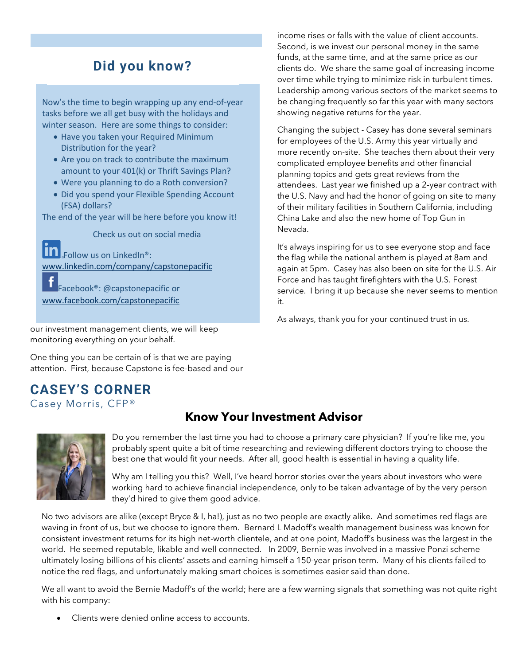## **Did you know?**

Now's the time to begin wrapping up any end-of-year tasks before we all get busy with the holidays and winter season. Here are some things to consider:

- Have you taken your Required Minimum Distribution for the year?
- Are you on track to contribute the maximum amount to your 401(k) or Thrift Savings Plan?
- Were you planning to do a Roth conversion?
- Did you spend your Flexible Spending Account (FSA) dollars?

The end of the year will be here before you know it!

Check us out on social media

Follow us on LinkedIn®: [www.linkedin.com/company/capstonepacific](http://www.linkedin.com/company/capstonepacific)

Facebook®: @capstonepacific or [www.facebook.com/capstonepacific](http://www.facebook.com/capstonepacific)

our investment management clients, we will keep monitoring everything on your behalf.

One thing you can be certain of is that we are paying attention. First, because Capstone is fee-based and our

## **CASEY'S CORNER**  Casey Morris, CFP®

income rises or falls with the value of client accounts. Second, is we invest our personal money in the same funds, at the same time, and at the same price as our clients do. We share the same goal of increasing income over time while trying to minimize risk in turbulent times. Leadership among various sectors of the market seems to be changing frequently so far this year with many sectors showing negative returns for the year.

Changing the subject - Casey has done several seminars for employees of the U.S. Army this year virtually and more recently on-site. She teaches them about their very complicated employee benefits and other financial planning topics and gets great reviews from the attendees. Last year we finished up a 2-year contract with the U.S. Navy and had the honor of going on site to many of their military facilities in Southern California, including China Lake and also the new home of Top Gun in Nevada.

It's always inspiring for us to see everyone stop and face the flag while the national anthem is played at 8am and again at 5pm. Casey has also been on site for the U.S. Air Force and has taught firefighters with the U.S. Forest service. I bring it up because she never seems to mention it.

As always, thank you for your continued trust in us.

## **Know Your Investment Advisor**



Do you remember the last time you had to choose a primary care physician? If you're like me, you probably spent quite a bit of time researching and reviewing different doctors trying to choose the best one that would fit your needs. After all, good health is essential in having a quality life.

Why am I telling you this? Well, I've heard horror stories over the years about investors who were working hard to achieve financial independence, only to be taken advantage of by the very person they'd hired to give them good advice.

No two advisors are alike (except Bryce & I, ha!), just as no two people are exactly alike. And sometimes red flags are waving in front of us, but we choose to ignore them. Bernard L Madoff's wealth management business was known for consistent investment returns for its high net-worth clientele, and at one point, Madoff's business was the largest in the world. He seemed reputable, likable and well connected. In 2009, Bernie was involved in a massive Ponzi scheme ultimately losing billions of his clients' assets and earning himself a 150-year prison term. Many of his clients failed to notice the red flags, and unfortunately making smart choices is sometimes easier said than done.

We all want to avoid the Bernie Madoff's of the world; here are a few warning signals that something was not quite right with his company:

• Clients were denied online access to accounts.